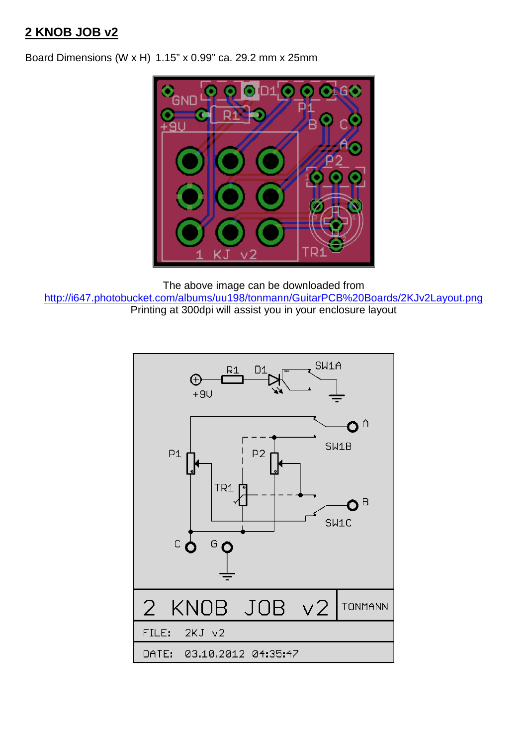# **2 KNOB JOB v2**

Board Dimensions (W x H) 1.15" x 0.99" ca. 29.2 mm x 25mm



The above image can be downloaded from http://i647.photobucket.com/albums/uu198/tonmann/GuitarPCB%20Boards/2KJv2Layout.png Printing at 300dpi will assist you in your enclosure layout

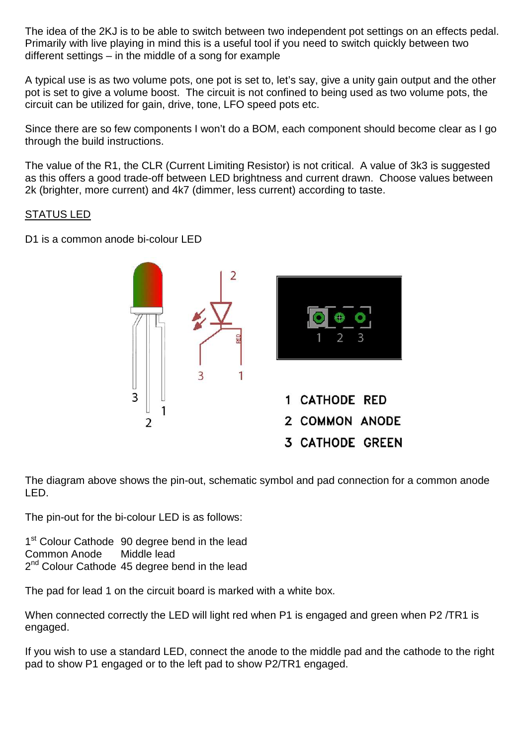The idea of the 2KJ is to be able to switch between two independent pot settings on an effects pedal. Primarily with live playing in mind this is a useful tool if you need to switch quickly between two different settings – in the middle of a song for example

A typical use is as two volume pots, one pot is set to, let's say, give a unity gain output and the other pot is set to give a volume boost. The circuit is not confined to being used as two volume pots, the circuit can be utilized for gain, drive, tone, LFO speed pots etc.

Since there are so few components I won't do a BOM, each component should become clear as I go through the build instructions.

The value of the R1, the CLR (Current Limiting Resistor) is not critical. A value of 3k3 is suggested as this offers a good trade-off between LED brightness and current drawn. Choose values between 2k (brighter, more current) and 4k7 (dimmer, less current) according to taste.

#### STATUS LED

D1 is a common anode bi-colour LED



The diagram above shows the pin-out, schematic symbol and pad connection for a common anode LED.

The pin-out for the bi-colour LED is as follows:

1<sup>st</sup> Colour Cathode 90 degree bend in the lead Common Anode Middle lead 2<sup>nd</sup> Colour Cathode 45 degree bend in the lead

The pad for lead 1 on the circuit board is marked with a white box.

When connected correctly the LED will light red when P1 is engaged and green when P2 /TR1 is engaged.

If you wish to use a standard LED, connect the anode to the middle pad and the cathode to the right pad to show P1 engaged or to the left pad to show P2/TR1 engaged.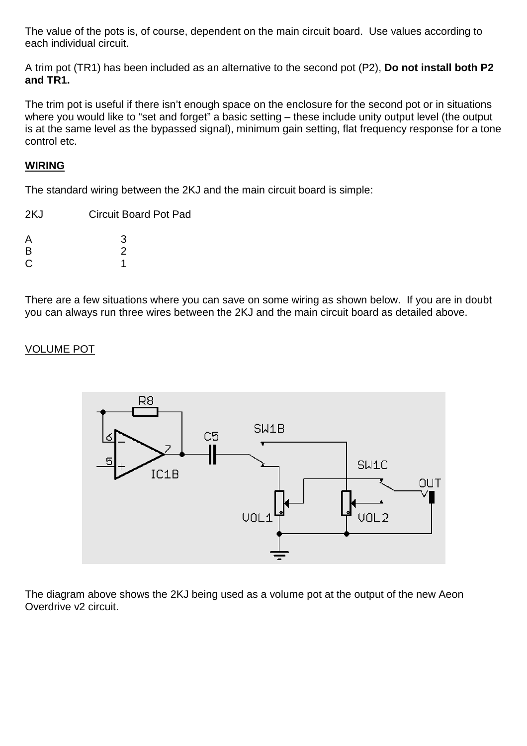The value of the pots is, of course, dependent on the main circuit board. Use values according to each individual circuit.

A trim pot (TR1) has been included as an alternative to the second pot (P2), **Do not install both P2 and TR1.**

The trim pot is useful if there isn't enough space on the enclosure for the second pot or in situations where you would like to "set and forget" a basic setting – these include unity output level (the output is at the same level as the bypassed signal), minimum gain setting, flat frequency response for a tone control etc.

## **WIRING**

The standard wiring between the 2KJ and the main circuit board is simple:

| 2KJ | <b>Circuit Board Pot Pad</b> |
|-----|------------------------------|
| A   | 3                            |
| B   | 2                            |
| C   |                              |

There are a few situations where you can save on some wiring as shown below. If you are in doubt you can always run three wires between the 2KJ and the main circuit board as detailed above.

#### VOLUME POT



The diagram above shows the 2KJ being used as a volume pot at the output of the new Aeon Overdrive v2 circuit.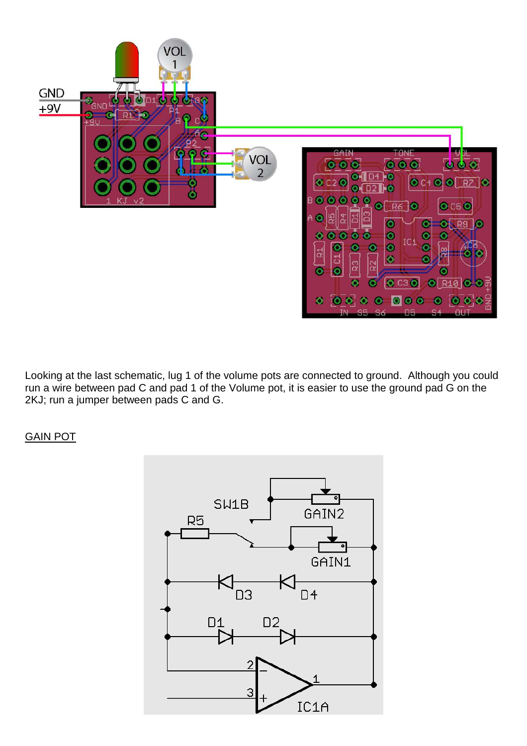

Looking at the last schematic, lug 1 of the volume pots are connected to ground. Although you could run a wire between pad C and pad 1 of the Volume pot, it is easier to use the ground pad G on the 2KJ; run a jumper between pads C and G.

### GAIN POT

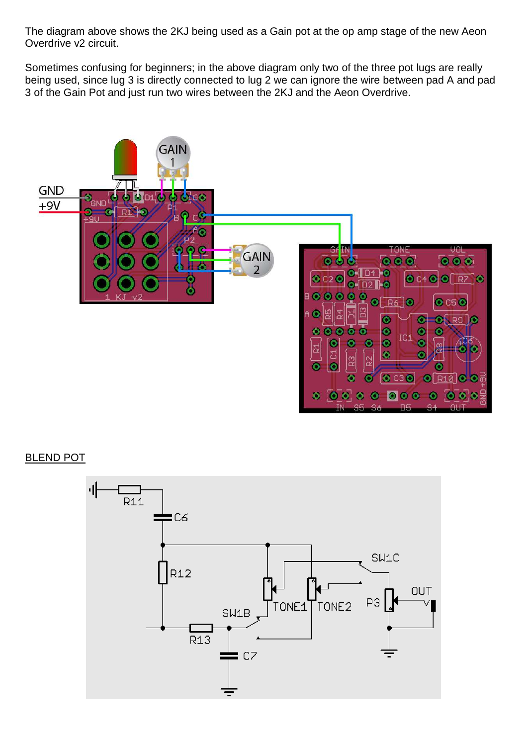The diagram above shows the 2KJ being used as a Gain pot at the op amp stage of the new Aeon Overdrive v2 circuit.

Sometimes confusing for beginners; in the above diagram only two of the three pot lugs are really being used, since lug 3 is directly connected to lug 2 we can ignore the wire between pad A and pad 3 of the Gain Pot and just run two wires between the 2KJ and the Aeon Overdrive.



#### BLEND POT